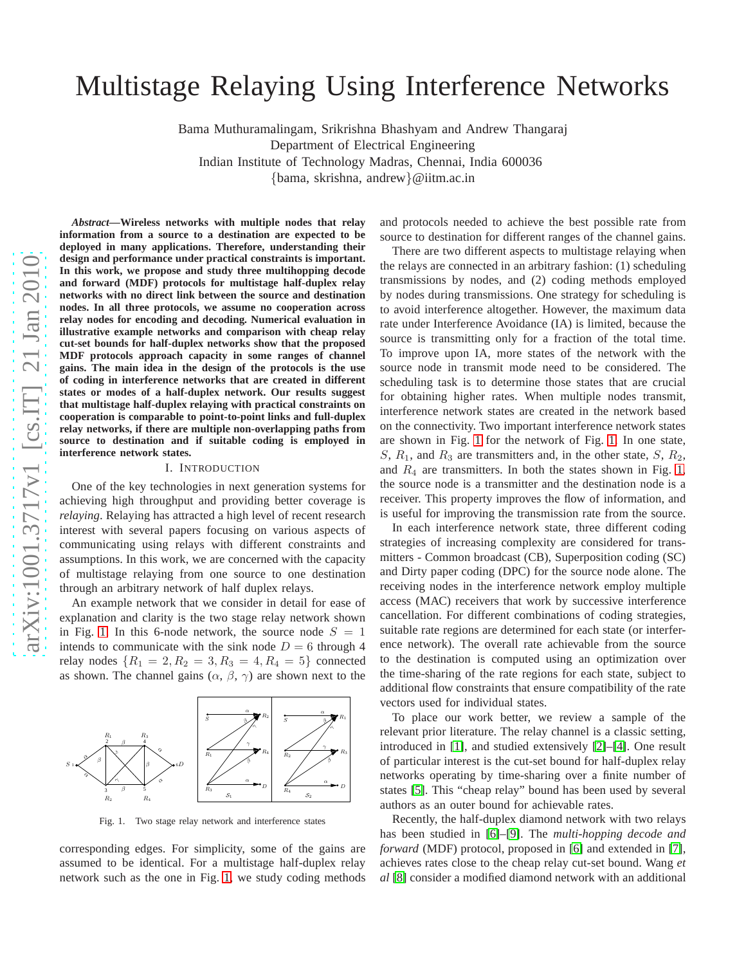# arXiv:1001.3717v1 [cs.IT] 21 Jan 2010 [arXiv:1001.3717v1 \[cs.IT\] 21 Jan 2010](http://arxiv.org/abs/1001.3717v1)

# Multistage Relaying Using Interference Networks

Bama Muthuramalingam, Srikrishna Bhashyam and Andrew Thangaraj Department of Electrical Engineering Indian Institute of Technology Madras, Chennai, India 600036

{bama, skrishna, andrew}@iitm.ac.in

*Abstract***—Wireless networks with multiple nodes that relay information from a source to a destination are expected to be deployed in many applications. Therefore, understanding their design and performance under practical constraints is important. In this work, we propose and study three multihopping decode and forward (MDF) protocols for multistage half-duplex relay networks with no direct link between the source and destination nodes. In all three protocols, we assume no cooperation across relay nodes for encoding and decoding. Numerical evaluation in illustrative example networks and comparison with cheap relay cut-set bounds for half-duplex networks show that the proposed MDF protocols approach capacity in some ranges of channel gains. The main idea in the design of the protocols is the use of coding in interference networks that are created in different** states or modes of a half-duplex network. Our results suggest **that multistage half-duplex relaying with practical constraints on cooperation is comparable to point-to-point links and full-duplex relay networks, if there are multiple non-overlapping paths from source to destination and if suitable coding is employed in interference network states.**

### I. INTRODUCTION

One of the key technologies in next generation systems for achieving high throughput and providing better coverage is *relaying*. Relaying has attracted a high level of recent research interest with several papers focusing on various aspects of communicating using relays with different constraints and assumptions. In this work, we are concerned with the capacity of multistage relaying from one source to one destination through an arbitrary network of half duplex relays.

An example network that we consider in detail for ease of explanation and clarity is the two stage relay network shown in Fig. [1.](#page-0-0) In this 6-node network, the source node  $S = 1$ intends to communicate with the sink node  $D = 6$  through 4 relay nodes  $\{R_1 = 2, R_2 = 3, R_3 = 4, R_4 = 5\}$  connected as shown. The channel gains  $(\alpha, \beta, \gamma)$  are shown next to the



<span id="page-0-0"></span>Fig. 1. Two stage relay network and interference states

corresponding edges. For simplicity, some of the gains are assumed to be identical. For a multistage half-duplex relay network such as the one in Fig. [1,](#page-0-0) we study coding methods

and protocols needed to achieve the best possible rate from source to destination for different ranges of the channel gains.

There are two different aspects to multistage relaying when the relays are connected in an arbitrary fashion: (1) scheduling transmissions by nodes, and (2) coding methods employed by nodes during transmissions. One strategy for scheduling is to avoid interference altogether. However, the maximum dat a rate under Interference Avoidance (IA) is limited, because the source is transmitting only for a fraction of the total time. To improve upon IA, more states of the network with the source node in transmit mode need to be considered. The scheduling task is to determine those states that are crucia l for obtaining higher rates. When multiple nodes transmit, interference network states are created in the network base d on the connectivity. Two important interference network states are shown in Fig. [1](#page-0-0) for the network of Fig. [1.](#page-0-0) In one state, S,  $R_1$ , and  $R_3$  are transmitters and, in the other state,  $S$ ,  $R_2$ , and  $R_4$  are transmitters. In both the states shown in Fig. [1,](#page-0-0) the source node is a transmitter and the destination node is a receiver. This property improves the flow of information, an d is useful for improving the transmission rate from the source.

In each interference network state, three different coding strategies of increasing complexity are considered for transmitters - Common broadcast (CB), Superposition coding (SC) and Dirty paper coding (DPC) for the source node alone. The receiving nodes in the interference network employ multipl e access (MAC) receivers that work by successive interferenc e cancellation. For different combinations of coding strategies, suitable rate regions are determined for each state (or interference network). The overall rate achievable from the source to the destination is computed using an optimization over the time-sharing of the rate regions for each state, subject to additional flow constraints that ensure compatibility of the rate vectors used for individual states.

To place our work better, we review a sample of the relevant prior literature. The relay channel is a classic setting, introduced in [\[1\]](#page-4-0), and studied extensively [\[2\]](#page-4-1)–[\[4\]](#page-4-2). One result of particular interest is the cut-set bound for half-duplex relay networks operating by time-sharing over a finite number of states [\[5\]](#page-4-3). This "cheap relay" bound has been used by several authors as an outer bound for achievable rates.

Recently, the half-duplex diamond network with two relays has been studied in [\[6\]](#page-4-4)–[\[9\]](#page-4-5). The *multi-hopping decode and forward* (MDF) protocol, proposed in [\[6\]](#page-4-4) and extended in [\[7\]](#page-4-6), achieves rates close to the cheap relay cut-set bound. Wang *et al* [\[8\]](#page-4-7) consider a modified diamond network with an additional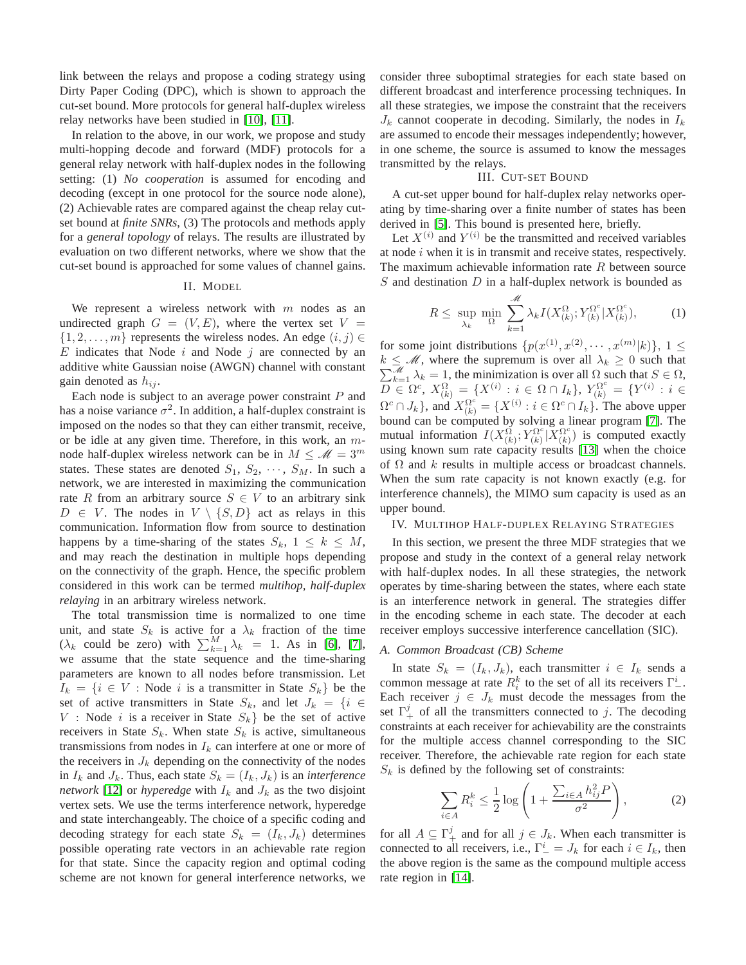link between the relays and propose a coding strategy using Dirty Paper Coding (DPC), which is shown to approach the cut-set bound. More protocols for general half-duplex wireless relay networks have been studied in [\[10\]](#page-4-8), [\[11\]](#page-4-9).

In relation to the above, in our work, we propose and study multi-hopping decode and forward (MDF) protocols for a general relay network with half-duplex nodes in the following setting: (1) *No cooperation* is assumed for encoding and decoding (except in one protocol for the source node alone), (2) Achievable rates are compared against the cheap relay cutset bound at *finite SNRs*, (3) The protocols and methods apply for a *general topology* of relays. The results are illustrated by evaluation on two different networks, where we show that the cut-set bound is approached for some values of channel gains.

### II. MODEL

We represent a wireless network with  $m$  nodes as an undirected graph  $G = (V, E)$ , where the vertex set  $V =$  $\{1, 2, \ldots, m\}$  represents the wireless nodes. An edge  $(i, j) \in$  $E$  indicates that Node  $i$  and Node  $j$  are connected by an additive white Gaussian noise (AWGN) channel with constant gain denoted as  $h_{ij}$ .

Each node is subject to an average power constraint  $P$  and has a noise variance  $\sigma^2$ . In addition, a half-duplex constraint is imposed on the nodes so that they can either transmit, receive, or be idle at any given time. Therefore, in this work, an  $m$ node half-duplex wireless network can be in  $M \leq \mathcal{M} = 3^m$ states. These states are denoted  $S_1, S_2, \cdots, S_M$ . In such a network, we are interested in maximizing the communication rate R from an arbitrary source  $S \in V$  to an arbitrary sink  $D \in V$ . The nodes in  $V \setminus \{S, D\}$  act as relays in this communication. Information flow from source to destination happens by a time-sharing of the states  $S_k$ ,  $1 \leq k \leq M$ , and may reach the destination in multiple hops depending on the connectivity of the graph. Hence, the specific problem considered in this work can be termed *multihop, half-duplex relaying* in an arbitrary wireless network.

The total transmission time is normalized to one time unit, and state  $S_k$  is active for a  $\lambda_k$  fraction of the time ( $\lambda_k$  could be zero) with  $\sum_{k=1}^{M} \lambda_k = 1$ . As in [\[6\]](#page-4-4), [\[7\]](#page-4-6), we assume that the state sequence and the time-sharing parameters are known to all nodes before transmission. Let  $I_k = \{i \in V : \text{Node } i \text{ is a transmitter in State } S_k\}$  be the set of active transmitters in State  $S_k$ , and let  $J_k = \{i \in$  $V$ : Node i is a receiver in State  $S_k$  be the set of active receivers in State  $S_k$ . When state  $S_k$  is active, simultaneous transmissions from nodes in  $I_k$  can interfere at one or more of the receivers in  $J_k$  depending on the connectivity of the nodes in  $I_k$  and  $J_k$ . Thus, each state  $S_k = (I_k, J_k)$  is an *interference network* [\[12\]](#page-4-10) or *hyperedge* with  $I_k$  and  $J_k$  as the two disjoint vertex sets. We use the terms interference network, hyperedge and state interchangeably. The choice of a specific coding and decoding strategy for each state  $S_k = (I_k, J_k)$  determines possible operating rate vectors in an achievable rate region for that state. Since the capacity region and optimal coding scheme are not known for general interference networks, we consider three suboptimal strategies for each state based on different broadcast and interference processing techniques. In all these strategies, we impose the constraint that the receivers  $J_k$  cannot cooperate in decoding. Similarly, the nodes in  $I_k$ are assumed to encode their messages independently; however, in one scheme, the source is assumed to know the messages transmitted by the relays.

### III. CUT-SET BOUND

A cut-set upper bound for half-duplex relay networks operating by time-sharing over a finite number of states has been derived in [\[5\]](#page-4-3). This bound is presented here, briefly.

Let  $X^{(i)}$  and  $Y^{(i)}$  be the transmitted and received variables at node  $i$  when it is in transmit and receive states, respectively. The maximum achievable information rate  $R$  between source  $S$  and destination  $D$  in a half-duplex network is bounded as

$$
R \le \sup_{\lambda_k} \min_{\Omega} \sum_{k=1}^{\mathcal{M}} \lambda_k I(X_{(k)}^{\Omega}; Y_{(k)}^{\Omega^c} | X_{(k)}^{\Omega^c}), \tag{1}
$$

for some joint distributions  $\{p(x^{(1)}, x^{(2)}, \dots, x^{(m)}|k)\}, 1 \leq$ P  $k \leq M$ , where the supremum is over all  $\lambda_k \geq 0$  such that  $\sum_{k=1}^{M} \lambda_k = 1$ , the minimization is over all  $\Omega$  such that  $S \in \Omega$ ,  $\overline{D}^{n-1}_{\infty}\Omega^{c}_{\infty},\ X^{\Omega}_{(k)}\,=\,\{X^{(i)}_{\infty}:\,i\,\in\,\Omega\cap I_{k}\},\ Y^{\Omega^{c}_{(k)}}_{(k)}\,=\,\{Y^{(i)}_{\infty}:\,i\,\in\,\Omega^{c}_{(k)}\}$  $\Omega^c \cap J_k$ , and  $X_{(k)}^{\Omega^c} = \{X^{(i)} : i \in \Omega^c \cap I_k\}$ . The above upper bound can be computed by solving a linear program [\[7\]](#page-4-6). The mutual information  $I(X_{(k)}^{\Omega}; Y_{(k)}^{\Omega^c})$  $\tilde{\chi}_{(k)}^{\Omega^c}|\tilde{X}_{(k)}^{\Omega^c}$  $\binom{\Omega^c}{k}$  is computed exactly using known sum rate capacity results [\[13\]](#page-4-11) when the choice of  $\Omega$  and k results in multiple access or broadcast channels. When the sum rate capacity is not known exactly (e.g. for interference channels), the MIMO sum capacity is used as an upper bound.

### IV. MULTIHOP HALF-DUPLEX RELAYING STRATEGIES

In this section, we present the three MDF strategies that we propose and study in the context of a general relay network with half-duplex nodes. In all these strategies, the network operates by time-sharing between the states, where each state is an interference network in general. The strategies differ in the encoding scheme in each state. The decoder at each receiver employs successive interference cancellation (SIC).

### *A. Common Broadcast (CB) Scheme*

In state  $S_k = (I_k, J_k)$ , each transmitter  $i \in I_k$  sends a common message at rate  $R_i^k$  to the set of all its receivers  $\Gamma^i_-$ . Each receiver  $j \in J_k$  must decode the messages from the set  $\Gamma^j_+$  of all the transmitters connected to j. The decoding constraints at each receiver for achievability are the constraints for the multiple access channel corresponding to the SIC receiver. Therefore, the achievable rate region for each state  $S_k$  is defined by the following set of constraints:

<span id="page-1-0"></span>
$$
\sum_{i \in A} R_i^k \le \frac{1}{2} \log \left( 1 + \frac{\sum_{i \in A} h_{ij}^2 P}{\sigma^2} \right),\tag{2}
$$

for all  $A \subseteq \Gamma^j_+$  and for all  $j \in J_k$ . When each transmitter is connected to all receivers, i.e.,  $\Gamma^i_- = J_k$  for each  $i \in I_k$ , then the above region is the same as the compound multiple access rate region in [\[14\]](#page-4-12).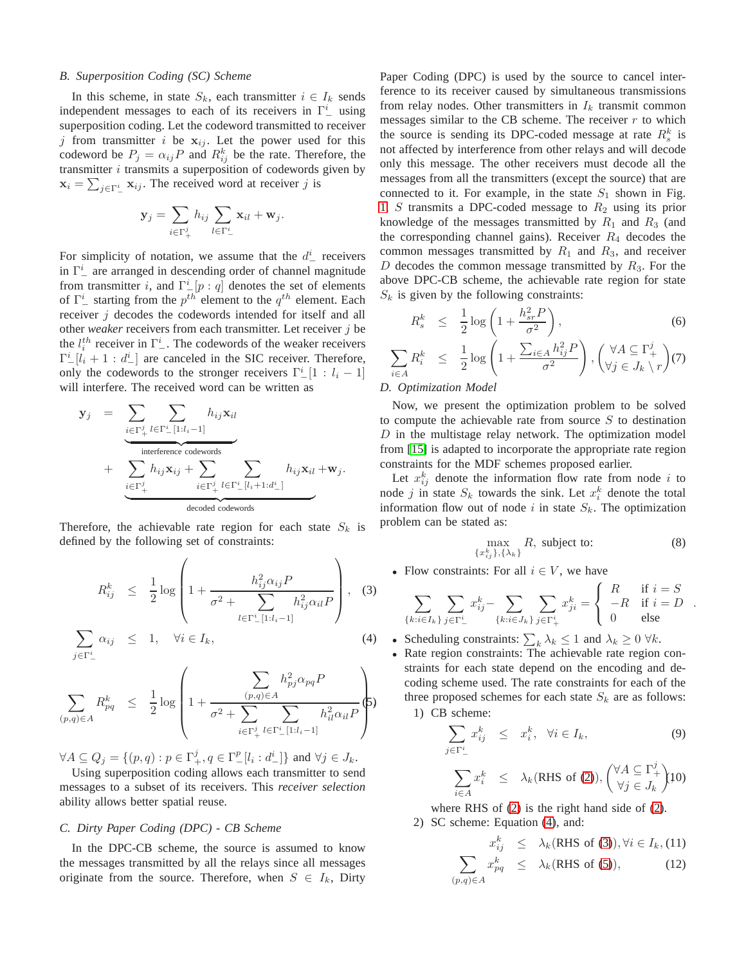### *B. Superposition Coding (SC) Scheme*

In this scheme, in state  $S_k$ , each transmitter  $i \in I_k$  sends independent messages to each of its receivers in  $\Gamma^i_-$  using superposition coding. Let the codeword transmitted to receiver j from transmitter i be  $x_{ij}$ . Let the power used for this codeword be  $P_j = \alpha_{ij} P$  and  $R_{ij}^k$  be the rate. Therefore, the transmitter  $i$  transmits a superposition of codewords given by  $\mathbf{x}_i = \sum_{j \in \Gamma^i_{-}} \mathbf{x}_{ij}$ . The received word at receiver j is

$$
\mathbf{y}_j = \sum_{i \in \Gamma_+^j} h_{ij} \sum_{l \in \Gamma_-^i} \mathbf{x}_{il} + \mathbf{w}_j.
$$

For simplicity of notation, we assume that the  $d^i$  receivers in  $\Gamma^i_-$  are arranged in descending order of channel magnitude from transmitter i, and  $\Gamma^i_{-}[p:q]$  denotes the set of elements of  $\Gamma^i_-$  starting from the  $p^{th}$  element to the  $q^{th}$  element. Each receiver *j* decodes the codewords intended for itself and all other *weaker* receivers from each transmitter. Let receiver j be the  $l_i^{th}$  receiver in  $\Gamma^i$ . The codewords of the weaker receivers  $\Gamma^i_- [l_i + 1 : d^i_-]$  are canceled in the SIC receiver. Therefore, only the codewords to the stronger receivers  $\Gamma^i_-[1 : l_i - 1]$ will interfere. The received word can be written as

$$
\mathbf{y}_{j} = \sum_{\substack{i \in \Gamma_{+}^{j} \\ \text{interference codewords} \\ \text{+} \sum_{i \in \Gamma_{+}^{j}} h_{ij} \mathbf{x}_{ij} + \sum_{i \in \Gamma_{+}^{j}} h_{\text{cyclic}} \sum_{\substack{l \in \Gamma_{-}^{j} \\ \text{decoded codewords}}} h_{ij} \mathbf{x}_{il} + \mathbf{w}_{j}.
$$

Therefore, the achievable rate region for each state  $S_k$  is defined by the following set of constraints:

<span id="page-2-0"></span>
$$
R_{ij}^{k} \leq \frac{1}{2} \log \left( 1 + \frac{h_{ij}^{2} \alpha_{ij} P}{\sigma^{2} + \sum_{l \in \Gamma_{-}^{i} [1: l_{i} - 1]} h_{ij}^{2} \alpha_{il} P} \right), \quad (3)
$$

$$
\sum_{j \in \Gamma^i_{-}} \alpha_{ij} \leq 1, \quad \forall i \in I_k,
$$
\n(4)

$$
\sum_{(p,q)\in A} R_{pq}^k \leq \frac{1}{2} \log \left( 1 + \frac{\sum_{(p,q)\in A} h_{pj}^2 \alpha_{pq} P}{\sigma^2 + \sum_{i \in \Gamma_+^j} \sum_{l \in \Gamma_-^i [1: l_i-1]} h_{il}^2 \alpha_{il} P} \right)
$$

 $\forall A \subseteq Q_j = \{ (p, q) : p \in \Gamma_+^j, q \in \Gamma_-^p[l_i : d_-^i] \}$  and  $\forall j \in J_k$ .

Using superposition coding allows each transmitter to send messages to a subset of its receivers. This *receiver selection* ability allows better spatial reuse.

### *C. Dirty Paper Coding (DPC) - CB Scheme*

In the DPC-CB scheme, the source is assumed to know the messages transmitted by all the relays since all messages originate from the source. Therefore, when  $S \in I_k$ , Dirty

Paper Coding (DPC) is used by the source to cancel interference to its receiver caused by simultaneous transmissions from relay nodes. Other transmitters in  $I_k$  transmit common messages similar to the CB scheme. The receiver  $r$  to which the source is sending its DPC-coded message at rate  $R_s^k$  is not affected by interference from other relays and will decode only this message. The other receivers must decode all the messages from all the transmitters (except the source) that are connected to it. For example, in the state  $S_1$  shown in Fig. [1,](#page-0-0) S transmits a DPC-coded message to  $R_2$  using its prior knowledge of the messages transmitted by  $R_1$  and  $R_3$  (and the corresponding channel gains). Receiver  $R_4$  decodes the common messages transmitted by  $R_1$  and  $R_3$ , and receiver D decodes the common message transmitted by  $R_3$ . For the above DPC-CB scheme, the achievable rate region for state  $S_k$  is given by the following constraints:

<span id="page-2-1"></span>
$$
R_s^k \leq \frac{1}{2} \log \left( 1 + \frac{h_{sr}^2 P}{\sigma^2} \right), \tag{6}
$$

$$
\sum_{i \in A} R_i^k \leq \frac{1}{2} \log \left( 1 + \frac{\sum_{i \in A} h_{ij}^2 P}{\sigma^2} \right), \left( \forall A \subseteq \Gamma_+^j \atop \forall j \in J_k \setminus r \right) (7)
$$

### *D. Optimization Model*

Now, we present the optimization problem to be solved to compute the achievable rate from source  $S$  to destination  $D$  in the multistage relay network. The optimization model from [\[15\]](#page-4-13) is adapted to incorporate the appropriate rate region constraints for the MDF schemes proposed earlier.

Let  $x_{ij}^k$  denote the information flow rate from node i to node j in state  $S_k$  towards the sink. Let  $x_i^k$  denote the total information flow out of node i in state  $S_k$ . The optimization problem can be stated as:

<span id="page-2-2"></span>
$$
\max_{\{x_{ij}^k\},\{\lambda_k\}} R, \text{ subject to:} \tag{8}
$$

.

• Flow constraints: For all  $i \in V$ , we have

$$
\sum_{\{k:i\in I_k\}} \sum_{j\in\Gamma_-^i} x_{ij}^k - \sum_{\{k:i\in J_k\}} \sum_{j\in\Gamma_+^i} x_{ji}^k = \begin{cases} R & \text{if } i = S \\ -R & \text{if } i = D \\ 0 & \text{else} \end{cases}
$$

- Scheduling constraints:  $\sum_k \lambda_k \leq 1$  and  $\lambda_k \geq 0$   $\forall k$ .
- Rate region constraints: The achievable rate region constraints for each state depend on the encoding and decoding scheme used. The rate constraints for each of the three proposed schemes for each state  $S_k$  are as follows: 1) CB scheme:

$$
\sum_{j \in \Gamma^i_-} x_{ij}^k \leq x_i^k, \quad \forall i \in I_k,
$$
\n(9)  
\n
$$
\sum_{i \in A} x_i^k \leq \lambda_k (\text{RHS of (2)}), \begin{pmatrix} \forall A \subseteq \Gamma^j_+ \\ \forall j \in J_k \end{pmatrix} 10
$$

i∈A where RHS of [\(2\)](#page-1-0) is the right hand side of [\(2\)](#page-1-0). 2) SC scheme: Equation [\(4\)](#page-2-0), and:

$$
x_{ij}^k \leq \lambda_k(\text{RHS of (3)), } \forall i \in I_k, (11)
$$

$$
\sum_{(p,q)\in A} x_{pq}^k \leq \lambda_k(\text{RHS of (5)),} \qquad (12)
$$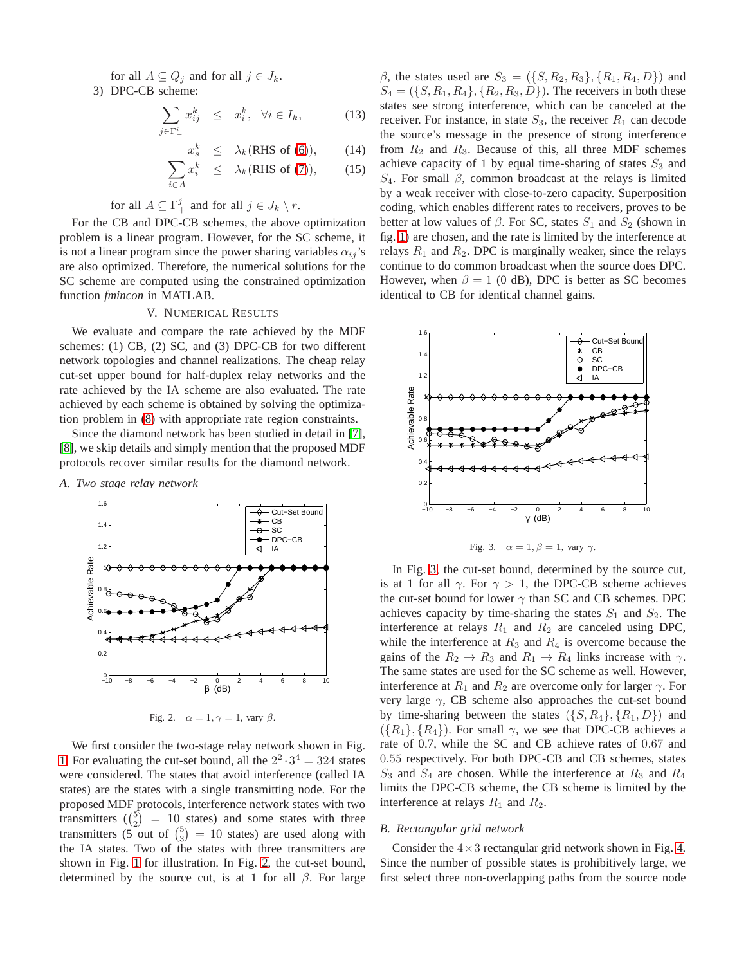for all  $A \subseteq Q_j$  and for all  $j \in J_k$ .

3) DPC-CB scheme:

$$
\sum_{j \in \Gamma^i_-} x^k_{ij} \leq x^k_i, \quad \forall i \in I_k,\tag{13}
$$

$$
x_s^k \leq \lambda_k(\text{RHS of (6)}), \qquad (14)
$$
  

$$
\sum x_s^k \leq \lambda_k(\text{RHS of (7)}).
$$
 (15)

$$
\sum_{i \in A} x_i^k \leq \lambda_k \text{(RHS of (7))}, \qquad (15)
$$

## for all  $A \subseteq \Gamma_+^j$  and for all  $j \in J_k \setminus r$ .

For the CB and DPC-CB schemes, the above optimization problem is a linear program. However, for the SC scheme, it is not a linear program since the power sharing variables  $\alpha_{ij}$ 's are also optimized. Therefore, the numerical solutions for the SC scheme are computed using the constrained optimization function *fmincon* in MATLAB.

### V. NUMERICAL RESULTS

We evaluate and compare the rate achieved by the MDF schemes: (1) CB, (2) SC, and (3) DPC-CB for two different network topologies and channel realizations. The cheap relay cut-set upper bound for half-duplex relay networks and the rate achieved by the IA scheme are also evaluated. The rate achieved by each scheme is obtained by solving the optimization problem in [\(8\)](#page-2-2) with appropriate rate region constraints.

Since the diamond network has been studied in detail in [\[7\]](#page-4-6), [\[8\]](#page-4-7), we skip details and simply mention that the proposed MDF protocols recover similar results for the diamond network.

*A. Two stage relay network*



<span id="page-3-0"></span>Fig. 2.  $\alpha = 1, \gamma = 1$ , vary  $\beta$ .

We first consider the two-stage relay network shown in Fig. [1.](#page-0-0) For evaluating the cut-set bound, all the  $2^2 \cdot 3^4 = 324$  states were considered. The states that avoid interference (called IA states) are the states with a single transmitting node. For the proposed MDF protocols, interference network states with two transmitters  $\binom{5}{2}$  = 10 states) and some states with three transmitters (5 out of  $\binom{5}{3}$  = 10 states) are used along with the IA states. Two of the states with three transmitters are shown in Fig. [1](#page-0-0) for illustration. In Fig. [2,](#page-3-0) the cut-set bound, determined by the source cut, is at 1 for all  $\beta$ . For large β, the states used are  $S_3 = (\{S, R_2, R_3\}, \{R_1, R_4, D\})$  and  $S_4 = (\{S, R_1, R_4\}, \{R_2, R_3, D\})$ . The receivers in both these states see strong interference, which can be canceled at the receiver. For instance, in state  $S_3$ , the receiver  $R_1$  can decode the source's message in the presence of strong interference from  $R_2$  and  $R_3$ . Because of this, all three MDF schemes achieve capacity of 1 by equal time-sharing of states  $S_3$  and  $S_4$ . For small  $\beta$ , common broadcast at the relays is limited by a weak receiver with close-to-zero capacity. Superposition coding, which enables different rates to receivers, proves to be better at low values of  $\beta$ . For SC, states  $S_1$  and  $S_2$  (shown in fig. [1\)](#page-0-0) are chosen, and the rate is limited by the interference at relays  $R_1$  and  $R_2$ . DPC is marginally weaker, since the relays continue to do common broadcast when the source does DPC. However, when  $\beta = 1$  (0 dB), DPC is better as SC becomes identical to CB for identical channel gains.



<span id="page-3-1"></span>Fig. 3.  $\alpha = 1, \beta = 1$ , vary  $\gamma$ .

In Fig. [3,](#page-3-1) the cut-set bound, determined by the source cut, is at 1 for all  $\gamma$ . For  $\gamma > 1$ , the DPC-CB scheme achieves the cut-set bound for lower  $\gamma$  than SC and CB schemes. DPC achieves capacity by time-sharing the states  $S_1$  and  $S_2$ . The interference at relays  $R_1$  and  $R_2$  are canceled using DPC, while the interference at  $R_3$  and  $R_4$  is overcome because the gains of the  $R_2 \rightarrow R_3$  and  $R_1 \rightarrow R_4$  links increase with  $\gamma$ . The same states are used for the SC scheme as well. However, interference at  $R_1$  and  $R_2$  are overcome only for larger  $\gamma$ . For very large  $\gamma$ , CB scheme also approaches the cut-set bound by time-sharing between the states  $({S, R<sub>4</sub>}, {R<sub>1</sub>, D})$  and  $({R_1}, {R_4})$ . For small  $\gamma$ , we see that DPC-CB achieves a rate of 0.7, while the SC and CB achieve rates of 0.67 and 0.55 respectively. For both DPC-CB and CB schemes, states  $S_3$  and  $S_4$  are chosen. While the interference at  $R_3$  and  $R_4$ limits the DPC-CB scheme, the CB scheme is limited by the interference at relays  $R_1$  and  $R_2$ .

### *B. Rectangular grid network*

Consider the  $4 \times 3$  rectangular grid network shown in Fig. [4.](#page-4-14) Since the number of possible states is prohibitively large, we first select three non-overlapping paths from the source node